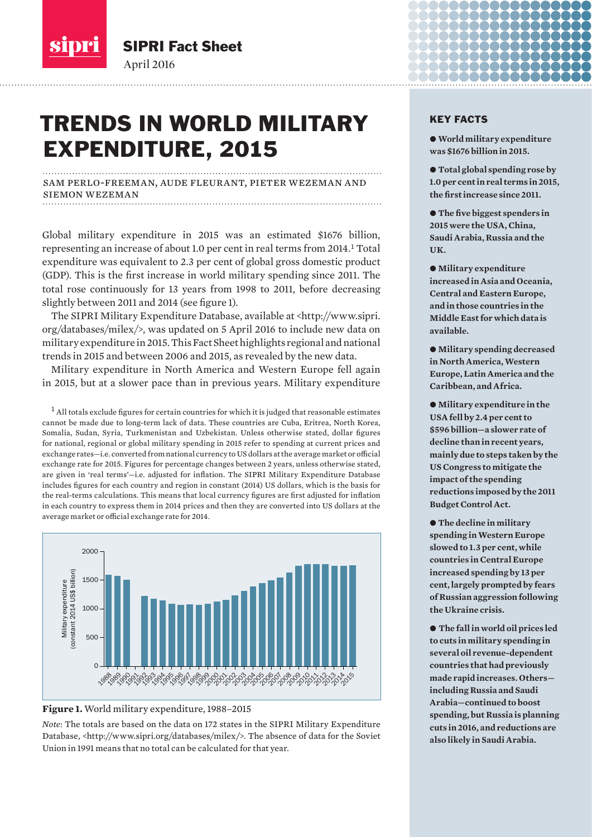

SIPRI Fact Sheet April 2016

# TRENDS IN WORLD MILITARY EXPENDITURE, 2015

sam perlo-freeman, aude fleurant, pieter wezeman and siemon wezeman 

Global military expenditure in 2015 was an estimated \$1676 billion, representing an increase of about 1.0 per cent in real terms from 2014.<sup>1</sup> Total expenditure was equivalent to 2.3 per cent of global gross domestic product (GDP). This is the first increase in world military spending since 2011. The total rose continuously for 13 years from 1998 to 2011, before decreasing slightly between 2011 and 2014 (see figure 1).

The SIPRI Military Expenditure Database, available at <http://www.sipri. org/databases/milex/>, was updated on 5 April 2016 to include new data on military expenditure in 2015. This Fact Sheet highlights regional and national trends in 2015 and between 2006 and 2015, as revealed by the new data.

Military expenditure in North America and Western Europe fell again in 2015, but at a slower pace than in previous years. Military expenditure

 $1$  All totals exclude figures for certain countries for which it is judged that reasonable estimates cannot be made due to long-term lack of data. These countries are Cuba, Eritrea, North Korea, Somalia, Sudan, Syria, Turkmenistan and Uzbekistan. Unless otherwise stated, dollar figures for national, regional or global military spending in 2015 refer to spending at current prices and exchange rates—i.e. converted from national currency to US dollars at the average market or official exchange rate for 2015. Figures for percentage changes between 2 years, unless otherwise stated, are given in 'real terms'-i.e. adjusted for inflation. The SIPRI Military Expenditure Database includes figures for each country and region in constant (2014) US dollars, which is the basis for the real-terms calculations. This means that local currency figures are first adjusted for inflation in each country to express them in 2014 prices and then they are converted into US dollars at the average market or official exchange rate for 2014.





*Note*: The totals are based on the data on 172 states in the SIPRI Military Expenditure Database, <http://www.sipri.org/databases/milex/>. The absence of data for the Soviet Union in 1991 means that no total can be calculated for that year.

## KEY FACTS

- w **World military expenditure was \$1676 billion in 2015.**
- $\bullet$  Total global spending rose by **1.0 per cent in real terms in 2015,**  the first increase since 2011.
- $\bullet$  The five biggest spenders in **2015 were the USA, China, Saudi Arabia, Russia and the UK.**
- $\bullet$  Military expenditure **increased in Asia and Oceania, Central and Eastern Europe, and in those countries in the Middle East for which data is available.**
- $\bullet$  Military spending decreased **in North America, Western Europe, Latin America and the Caribbean, and Africa.**

 $\bullet$  Military expenditure in the **USA fell by 2.4 per cent to \$596 billion—a slower rate of decline than in recent years, mainly due to steps taken by the US Congress to mitigate the impact of the spending reductions imposed by the 2011 Budget Control Act.**

● The decline in military **spending in Western Europe slowed to 1.3 per cent, while countries in Central Europe increased spending by 13 per cent, largely prompted by fears of Russian aggression following the Ukraine crisis.**

w **The fall in world oil prices led to cuts in military spending in several oil revenue-dependent countries that had previously made rapid increases. Others including Russia and Saudi Arabia—continued to boost spending, but Russia is planning cuts in 2016, and reductions are also likely in Saudi Arabia.**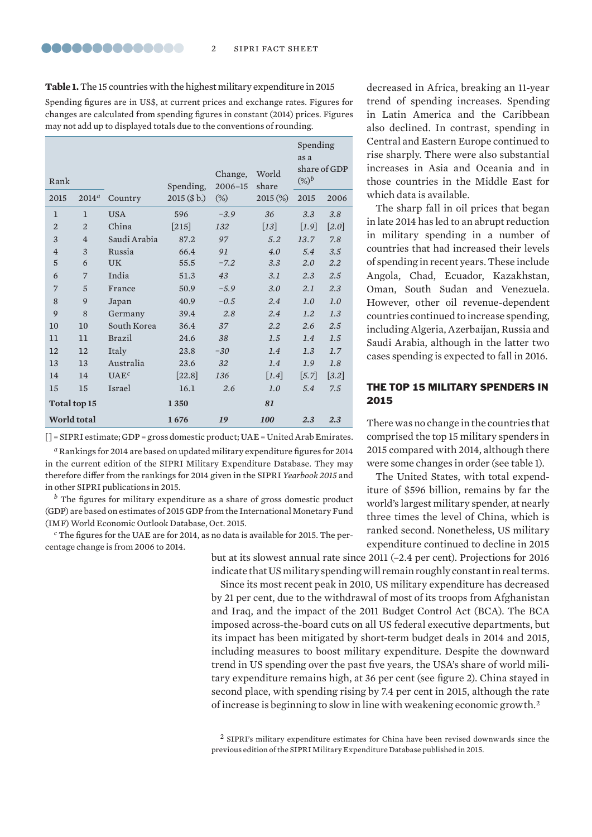**Table 1.** The 15 countries with the highest military expenditure in 2015 Spending figures are in US\$, at current prices and exchange rates. Figures for changes are calculated from spending figures in constant (2014) prices. Figures may not add up to displayed totals due to the conventions of rounding.

| Rank           |                |                  | Spending,            | Change,<br>2006-15 | World<br>share     | Spending<br>as a<br>$(\%)^b$ | share of GDP |
|----------------|----------------|------------------|----------------------|--------------------|--------------------|------------------------------|--------------|
| 2015           | $2014^a$       | Country          | 2015 (\$b.)          | $(\%)$             | 2015 (%)           | 2015                         | 2006         |
| $\mathbf{1}$   | 1              | <b>USA</b>       | 596                  | $-3.9$             | 36                 | 3.3                          | 3.8          |
| $\overline{2}$ | $\overline{2}$ | China            | $[215]$              | 132                | $[13]$             | $[1.9]$                      | $[2.0]$      |
| 3              | $\overline{4}$ | Saudi Arabia     | 87.2                 | 97                 | 5.2                | 13.7                         | 7.8          |
| $\overline{4}$ | 3              | Russia           | 66.4                 | 91                 | 4.0                | 5.4                          | 3.5          |
| $\mathbf 5$    | 6              | <b>UK</b>        | 55.5                 | $-7.2$             | 3.3                | 2.0                          | 2.2          |
| 6              | 7              | India            | 51.3                 | 43                 | 3.1                | 2.3                          | 2.5          |
| $\overline{7}$ | 5              | France           | 50.9                 | $-5.9$             | 3.0                | 2.1                          | 2.3          |
| 8              | 9              | Japan            | 40.9                 | $-0.5$             | 2.4                | 1.0                          | 1.0          |
| 9              | 8              | Germany          | 39.4                 | 2.8                | 2.4                | 1.2                          | 1.3          |
| 10             | 10             | South Korea      | 36.4                 | 37                 | 2.2                | 2.6                          | 2.5          |
| 11             | 11             | <b>Brazil</b>    | 24.6                 | 38                 | 1.5                | 1.4                          | 1.5          |
| 12             | 12             | Italy            | 23.8                 | $-30$              | 1.4                | 1.3                          | 1.7          |
| 13             | 13             | Australia        | 23.6                 | 32                 | 1.4                | 1.9                          | 1.8          |
| 14             | 14             | UAE <sup>c</sup> | $\lceil 22.8 \rceil$ | 136                | $\left[1.4\right]$ | $\left[5.7\right]$           | $[3.2]$      |
| 15             | 15             | Israel           | 16.1                 | 2.6                | 1.0                | 5.4                          | 7.5          |
| Total top 15   |                | 1350             |                      | 81                 |                    |                              |              |
| World total    |                | 1676             | 19                   | 100                | 2.3                | 2.3                          |              |

 $[$  = SIPRI estimate; GDP = gross domestic product; UAE = United Arab Emirates.

<sup>a</sup> Rankings for 2014 are based on updated military expenditure figures for 2014 in the current edition of the SIPRI Military Expenditure Database. They may therefore differ from the rankings for 2014 given in the SIPRI *Yearbook 2015* and in other SIPRI publications in 2015.

 $<sup>b</sup>$  The figures for military expenditure as a share of gross domestic product</sup> (GDP) are based on estimates of 2015 GDP from the International Monetary Fund (IMF) World Economic Outlook Database, Oct. 2015.

<sup>c</sup> The figures for the UAE are for 2014, as no data is available for 2015. The percentage change is from 2006 to 2014.

but at its slowest annual rate since  $2011$  ( $-2.4$  per cent). Projections for  $2016$ indicate that US military spending will remain roughly constant in real terms.

Since its most recent peak in 2010, US military expenditure has decreased by 21 per cent, due to the withdrawal of most of its troops from Afghanistan and Iraq, and the impact of the 2011 Budget Control Act (BCA). The BCA imposed across-the-board cuts on all US federal executive departments, but its impact has been mitigated by short-term budget deals in 2014 and 2015, including measures to boost military expenditure. Despite the downward trend in US spending over the past five years, the USA's share of world military expenditure remains high, at 36 per cent (see figure 2). China stayed in second place, with spending rising by 7.4 per cent in 2015, although the rate of increase is beginning to slow in line with weakening economic growth.<sup>2</sup>

<sup>2</sup> SIPRI's military expenditure estimates for China have been revised downwards since the previous edition of the SIPRI Military Expenditure Database published in 2015.

decreased in Africa, breaking an 11-year trend of spending increases. Spending in Latin America and the Caribbean also declined. In contrast, spending in Central and Eastern Europe continued to rise sharply. There were also substantial increases in Asia and Oceania and in those countries in the Middle East for which data is available.

The sharp fall in oil prices that began in late 2014 has led to an abrupt reduction in military spending in a number of countries that had increased their levels of spending in recent years. These include Angola, Chad, Ecuador, Kazakhstan, Oman, South Sudan and Venezuela. However, other oil revenue-dependent countries continued to increase spending, including Algeria, Azerbaijan, Russia and Saudi Arabia, although in the latter two cases spending is expected to fall in 2016.

## THE TOP 15 MILITARY SPENDERS IN 2015

There was no change in the countries that comprised the top 15 military spenders in 2015 compared with 2014, although there were some changes in order (see table 1).

The United States, with total expenditure of \$596 billion, remains by far the world's largest military spender, at nearly three times the level of China, which is ranked second. Nonetheless, US military expenditure continued to decline in 2015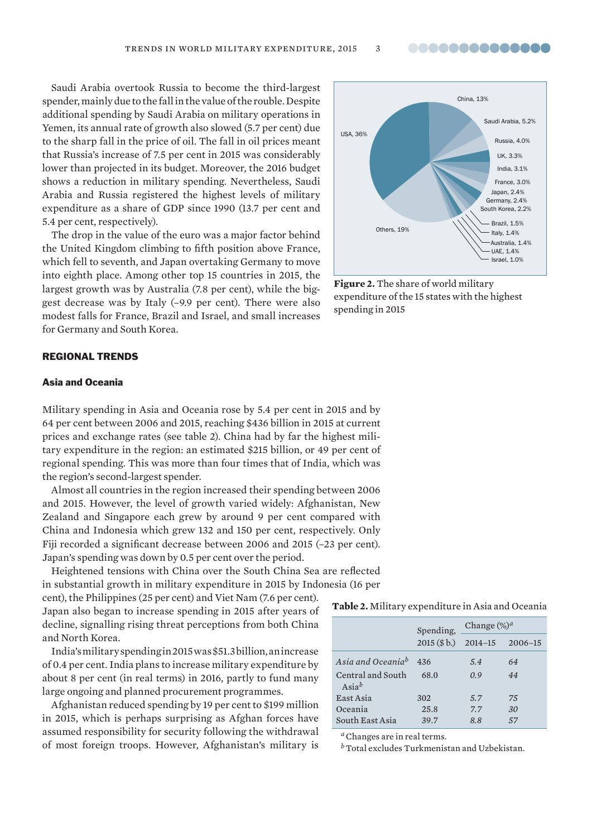..............

Saudi Arabia overtook Russia to become the third-largest spender, mainly due to the fall in the value of the rouble. Despite additional spending by Saudi Arabia on military operations in Yemen, its annual rate of growth also slowed (5.7 per cent) due to the sharp fall in the price of oil. The fall in oil prices meant that Russia's increase of 7.5 per cent in 2015 was considerably lower than projected in its budget. Moreover, the 2016 budget shows a reduction in military spending. Nevertheless, Saudi Arabia and Russia registered the highest levels of military expenditure as a share of GDP since 1990 (13.7 per cent and 5.4 per cent, respectively).

The drop in the value of the euro was a major factor behind the United Kingdom climbing to fifth position above France, which fell to seventh, and Japan overtaking Germany to move into eighth place. Among other top 15 countries in 2015, the largest growth was by Australia (7.8 per cent), while the biggest decrease was by Italy (–9.9 per cent). There were also modest falls for France, Brazil and Israel, and small increases for Germany and South Korea.



**Figure 2.** The share of world military expenditure of the 15 states with the highest spending in 2015

#### REGIONAL TRENDS

#### Asia and Oceania

Military spending in Asia and Oceania rose by 5.4 per cent in 2015 and by 64 per cent between 2006 and 2015, reaching \$436 billion in 2015 at current prices and exchange rates (see table 2). China had by far the highest military expenditure in the region: an estimated \$215 billion, or 49 per cent of regional spending. This was more than four times that of India, which was the region's second-largest spender.

Almost all countries in the region increased their spending between 2006 and 2015. However, the level of growth varied widely: Afghanistan, New Zealand and Singapore each grew by around 9 per cent compared with China and Indonesia which grew 132 and 150 per cent, respectively. Only Fiji recorded a significant decrease between 2006 and 2015 (-23 per cent). Japan's spending was down by 0.5 per cent over the period.

Heightened tensions with China over the South China Sea are reflected in substantial growth in military expenditure in 2015 by Indonesia (16 per

cent), the Philippines (25 per cent) and Viet Nam (7.6 per cent). Japan also began to increase spending in 2015 after years of decline, signalling rising threat perceptions from both China and North Korea.

India's military spending in 2015 was \$51.3 billion, an increase of 0.4 per cent. India plans to increase military expenditure by about 8 per cent (in real terms) in 2016, partly to fund many large ongoing and planned procurement programmes.

Afghanistan reduced spending by 19 per cent to \$199 million in 2015, which is perhaps surprising as Afghan forces have assumed responsibility for security following the withdrawal of most foreign troops. However, Afghanistan's military is

#### **Table 2.** Military expenditure in Asia and Oceania

|                                      | Spending,                   | Change $(\%)^d$ |    |  |
|--------------------------------------|-----------------------------|-----------------|----|--|
|                                      | 2015 (\$b.) 2014-15 2006-15 |                 |    |  |
| Asia and Oceaniab                    | 436                         | 5.4             | 64 |  |
| Central and South<br>$\text{Asia}^b$ | 68.0                        | 0.9             | 44 |  |
| East Asia                            | 302                         | 5.7             | 75 |  |
| Oceania                              | 25.8                        | 7.7             | 30 |  |
| South East Asia                      | 39.7                        | 8.8             | 57 |  |

*<sup>a</sup>*Changes are in real terms.

*<sup>b</sup>*Total excludes Turkmenistan and Uzbekistan.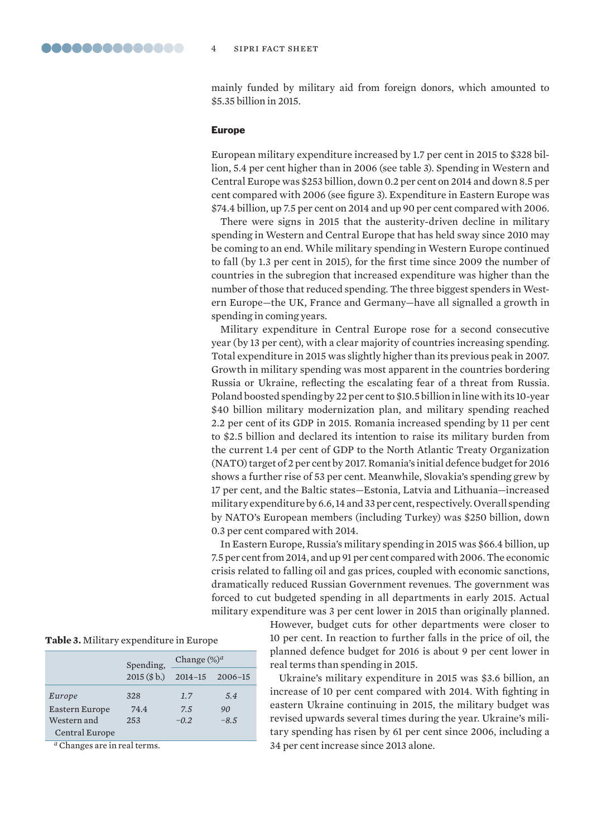mainly funded by military aid from foreign donors, which amounted to \$5.35 billion in 2015.

#### Europe

European military expenditure increased by 1.7 per cent in 2015 to \$328 billion, 5.4 per cent higher than in 2006 (see table 3). Spending in Western and Central Europe was \$253 billion, down 0.2 per cent on 2014 and down 8.5 per cent compared with 2006 (see figure 3). Expenditure in Eastern Europe was \$74.4 billion, up 7.5 per cent on 2014 and up 90 per cent compared with 2006.

There were signs in 2015 that the austerity-driven decline in military spending in Western and Central Europe that has held sway since 2010 may be coming to an end. While military spending in Western Europe continued to fall (by 1.3 per cent in 2015), for the first time since 2009 the number of countries in the subregion that increased expenditure was higher than the number of those that reduced spending. The three biggest spenders in Western Europe—the UK, France and Germany—have all signalled a growth in spending in coming years.

Military expenditure in Central Europe rose for a second consecutive year (by 13 per cent), with a clear majority of countries increasing spending. Total expenditure in 2015 was slightly higher than its previous peak in 2007. Growth in military spending was most apparent in the countries bordering Russia or Ukraine, reflecting the escalating fear of a threat from Russia. Poland boosted spending by 22 per cent to \$10.5 billion in line with its 10-year \$40 billion military modernization plan, and military spending reached 2.2 per cent of its GDP in 2015. Romania increased spending by 11 per cent to \$2.5 billion and declared its intention to raise its military burden from the current 1.4 per cent of GDP to the North Atlantic Treaty Organization (NATO) target of 2 per cent by 2017. Romania's initial defence budget for 2016 shows a further rise of 53 per cent. Meanwhile, Slovakia's spending grew by 17 per cent, and the Baltic states—Estonia, Latvia and Lithuania—increased military expenditure by 6.6, 14 and 33 per cent, respectively. Overall spending by NATO's European members (including Turkey) was \$250 billion, down 0.3 per cent compared with 2014.

In Eastern Europe, Russia's military spending in 2015 was \$66.4 billion, up 7.5 per cent from 2014, and up 91 per cent compared with 2006. The economic crisis related to falling oil and gas prices, coupled with economic sanctions, dramatically reduced Russian Government revenues. The government was forced to cut budgeted spending in all departments in early 2015. Actual military expenditure was 3 per cent lower in 2015 than originally planned.

> However, budget cuts for other departments were closer to 10 per cent. In reaction to further falls in the price of oil, the planned defence budget for 2016 is about 9 per cent lower in real terms than spending in 2015.

> Ukraine's military expenditure in 2015 was \$3.6 billion, an increase of 10 per cent compared with 2014. With fighting in eastern Ukraine continuing in 2015, the military budget was revised upwards several times during the year. Ukraine's military spending has risen by 61 per cent since 2006, including a 34 per cent increase since 2013 alone.

| Table 3. Military expenditure in Europe |  |  |
|-----------------------------------------|--|--|
|-----------------------------------------|--|--|

|                | Spending,             | Change $(\%)^d$ |        |  |
|----------------|-----------------------|-----------------|--------|--|
|                | 2015(S <sub>b</sub> ) | 2014-15 2006-15 |        |  |
| Europe         | 328                   | 1.7             | 5.4    |  |
| Eastern Europe | 74.4                  | 7.5             | 90     |  |
| Western and    | 253                   | $-0.2$          | $-8.5$ |  |
| Central Europe |                       |                 |        |  |

*<sup>a</sup>* Changes are in real terms.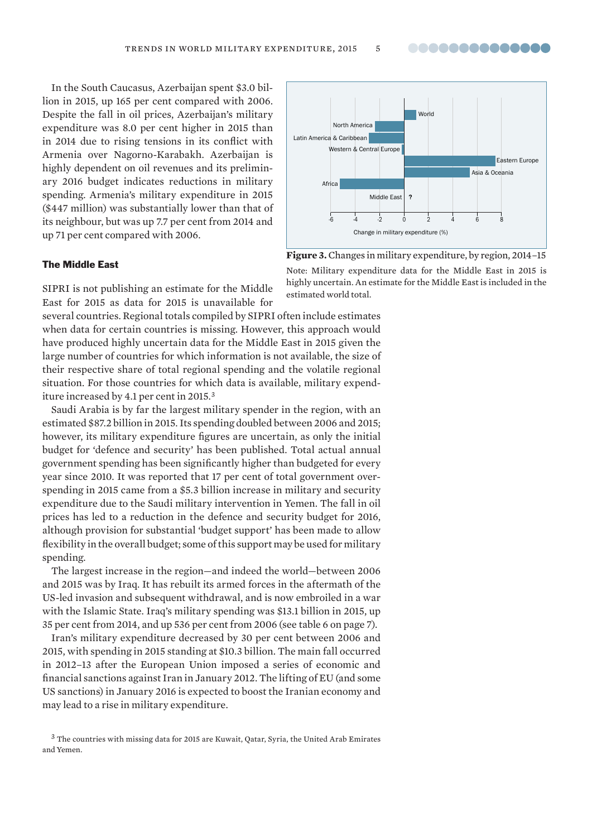..............

In the South Caucasus, Azerbaijan spent \$3.0 billion in 2015, up 165 per cent compared with 2006. Despite the fall in oil prices, Azerbaijan's military expenditure was 8.0 per cent higher in 2015 than in 2014 due to rising tensions in its conflict with Armenia over Nagorno-Karabakh. Azerbaijan is highly dependent on oil revenues and its preliminary 2016 budget indicates reductions in military spending. Armenia's military expenditure in 2015 (\$447 million) was substantially lower than that of its neighbour, but was up 7.7 per cent from 2014 and up 71 per cent compared with 2006.

#### The Middle East

SIPRI is not publishing an estimate for the Middle East for 2015 as data for 2015 is unavailable for

several countries. Regional totals compiled by SIPRI often include estimates when data for certain countries is missing. However, this approach would have produced highly uncertain data for the Middle East in 2015 given the large number of countries for which information is not available, the size of their respective share of total regional spending and the volatile regional situation. For those countries for which data is available, military expenditure increased by 4.1 per cent in 2015.<sup>3</sup>

Saudi Arabia is by far the largest military spender in the region, with an estimated \$87.2 billion in 2015. Its spending doubled between 2006 and 2015; however, its military expenditure figures are uncertain, as only the initial budget for 'defence and security' has been published. Total actual annual government spending has been significantly higher than budgeted for every year since 2010. It was reported that 17 per cent of total government overspending in 2015 came from a \$5.3 billion increase in military and security expenditure due to the Saudi military intervention in Yemen. The fall in oil prices has led to a reduction in the defence and security budget for 2016, although provision for substantial 'budget support' has been made to allow flexibility in the overall budget; some of this support may be used for military spending.

The largest increase in the region—and indeed the world—between 2006 and 2015 was by Iraq. It has rebuilt its armed forces in the aftermath of the US-led invasion and subsequent withdrawal, and is now embroiled in a war with the Islamic State. Iraq's military spending was \$13.1 billion in 2015, up 35 per cent from 2014, and up 536 per cent from 2006 (see table 6 on page 7).

Iran's military expenditure decreased by 30 per cent between 2006 and 2015, with spending in 2015 standing at \$10.3 billion. The main fall occurred in 2012–13 after the European Union imposed a series of economic and financial sanctions against Iran in January 2012. The lifting of EU (and some US sanctions) in January 2016 is expected to boost the Iranian economy and may lead to a rise in military expenditure.

<sup>3</sup> The countries with missing data for 2015 are Kuwait, Qatar, Syria, the United Arab Emirates and Yemen.



**Figure 3.** Changes in military expenditure, by region, 2014–15 Note: Military expenditure data for the Middle East in 2015 is highly uncertain. An estimate for the Middle East is included in the estimated world total.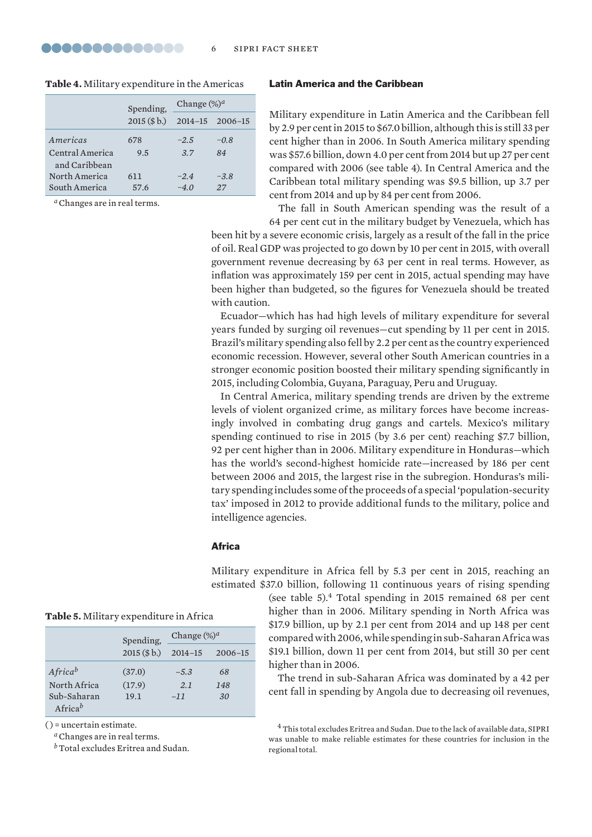#### **Table 4.** Military expenditure in the Americas

|                                  | Spending,             | Change $(\%)^a$ |        |  |
|----------------------------------|-----------------------|-----------------|--------|--|
|                                  | 2015(S <sub>b</sub> ) | 2014-15 2006-15 |        |  |
| Americas                         | 678                   | $-2.5$          | $-0.8$ |  |
| Central America<br>and Caribbean | 9.5                   | 3.7             | 84     |  |
| North America                    | 611                   | $-2.4$          | $-3.8$ |  |
| South America                    | 57.6                  | $-4.0$          | 27     |  |

*<sup>a</sup>*Changes are in real terms.

## Latin America and the Caribbean

Military expenditure in Latin America and the Caribbean fell by 2.9 per cent in 2015 to \$67.0 billion, although this is still 33 per cent higher than in 2006. In South America military spending was \$57.6 billion, down 4.0 per cent from 2014 but up 27 per cent compared with 2006 (see table 4). In Central America and the Caribbean total military spending was \$9.5 billion, up 3.7 per cent from 2014 and up by 84 per cent from 2006.

The fall in South American spending was the result of a 64 per cent cut in the military budget by Venezuela, which has

been hit by a severe economic crisis, largely as a result of the fall in the price of oil. Real GDP was projected to go down by 10 per cent in 2015, with overall government revenue decreasing by 63 per cent in real terms. However, as inflation was approximately 159 per cent in 2015, actual spending may have been higher than budgeted, so the figures for Venezuela should be treated with caution.

Ecuador—which has had high levels of military expenditure for several years funded by surging oil revenues—cut spending by 11 per cent in 2015. Brazil's military spending also fell by 2.2 per cent as the country experienced economic recession. However, several other South American countries in a stronger economic position boosted their military spending significantly in 2015, including Colombia, Guyana, Paraguay, Peru and Uruguay.

In Central America, military spending trends are driven by the extreme levels of violent organized crime, as military forces have become increasingly involved in combating drug gangs and cartels. Mexico's military spending continued to rise in 2015 (by 3.6 per cent) reaching \$7.7 billion, 92 per cent higher than in 2006. Military expenditure in Honduras—which has the world's second-highest homicide rate—increased by 186 per cent between 2006 and 2015, the largest rise in the subregion. Honduras's military spending includes some of the proceeds of a special 'population-security tax' imposed in 2012 to provide additional funds to the military, police and intelligence agencies.

#### Africa

Military expenditure in Africa fell by 5.3 per cent in 2015, reaching an estimated \$37.0 billion, following 11 continuous years of rising spending

(see table 5).4 Total spending in 2015 remained 68 per cent higher than in 2006. Military spending in North Africa was \$17.9 billion, up by 2.1 per cent from 2014 and up 148 per cent compared with 2006, while spending in sub- Saharan Africa was \$19.1 billion, down 11 per cent from 2014, but still 30 per cent higher than in 2006.

The trend in sub-Saharan Africa was dominated by a 42 per cent fall in spending by Angola due to decreasing oil revenues,

<sup>4</sup> This total excludes Eritrea and Sudan. Due to the lack of available data, SIPRI was unable to make reliable estimates for these countries for inclusion in the regional total.

|  |  |  |  | <b>Table 5.</b> Military expenditure in Africa |  |  |  |  |  |  |
|--|--|--|--|------------------------------------------------|--|--|--|--|--|--|
|--|--|--|--|------------------------------------------------|--|--|--|--|--|--|

|                        | Spending,             | Change $(\%)^a$ |             |  |
|------------------------|-----------------------|-----------------|-------------|--|
|                        | 2015(S <sub>b</sub> ) | $2014 - 15$     | $2006 - 15$ |  |
| $A$ frica <sup>b</sup> | (37.0)                | $-5.3$          | 68          |  |
| North Africa           | (17.9)                | 2.1             | 148         |  |
| Sub-Saharan            | 19.1                  | $-11$           | 30          |  |
| Africa <sup>b</sup>    |                       |                 |             |  |

( ) = uncertain estimate.

*<sup>a</sup>*Changes are in real terms.

*<sup>b</sup>*Total excludes Eritrea and Sudan.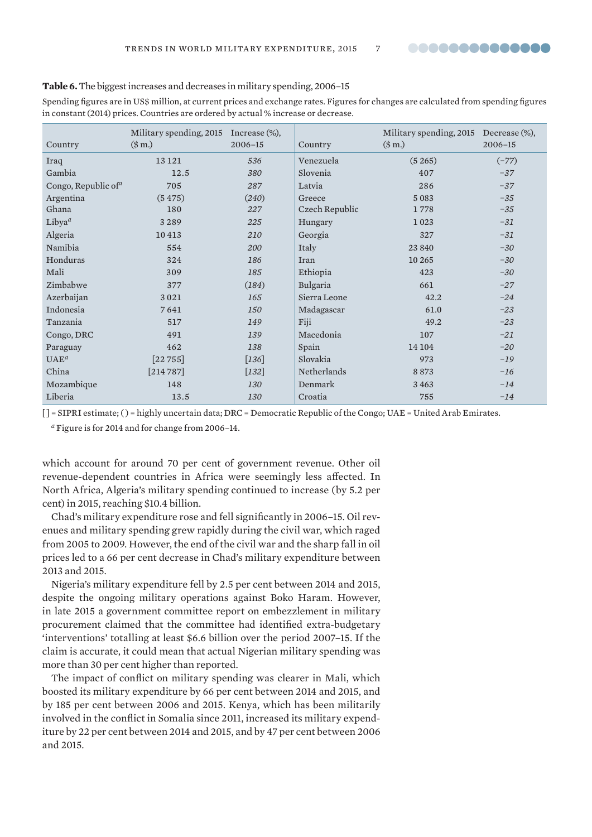

#### **Table 6.** The biggest increases and decreases in military spending, 2006–15

Spending figures are in US\$ million, at current prices and exchange rates. Figures for changes are calculated from spending figures in constant (2014) prices. Countries are ordered by actual % increase or decrease.

|                                 | Military spending, 2015 | Increase $(\%)$ , |                | Military spending, 2015 Decrease (%), |             |
|---------------------------------|-------------------------|-------------------|----------------|---------------------------------------|-------------|
| Country                         | (\$m.)                  | $2006 - 15$       | Country        | (\$m.)                                | $2006 - 15$ |
| Iraq                            | 13 12 1                 | 536               | Venezuela      | (5265)                                | $(-77)$     |
| Gambia                          | 12.5                    | 380               | Slovenia       | 407                                   | $-37$       |
| Congo, Republic of <sup>a</sup> | 705                     | 287               | Latvia         | 286                                   | $-37$       |
| Argentina                       | (5475)                  | (240)             | Greece         | 5083                                  | $-35$       |
| Ghana                           | 180                     | 227               | Czech Republic | 1778                                  | $-35$       |
| Libya <sup>a</sup>              | 3289                    | 225               | Hungary        | 1023                                  | $-31$       |
| Algeria                         | 10413                   | 210               | Georgia        | 327                                   | $-31$       |
| Namibia                         | 554                     | 200               | Italy          | 23 840                                | $-30$       |
| Honduras                        | 324                     | 186               | Iran           | 10 265                                | $-30$       |
| Mali                            | 309                     | 185               | Ethiopia       | 423                                   | $-30$       |
| Zimbabwe                        | 377                     | (184)             | Bulgaria       | 661                                   | $-27$       |
| Azerbaijan                      | 3021                    | 165               | Sierra Leone   | 42.2                                  | $-24$       |
| Indonesia                       | 7641                    | 150               | Madagascar     | 61.0                                  | $-23$       |
| Tanzania                        | 517                     | 149               | Fiji           | 49.2                                  | $-23$       |
| Congo, DRC                      | 491                     | 139               | Macedonia      | 107                                   | $-21$       |
| Paraguay                        | 462                     | 138               | Spain          | 14 104                                | $-20$       |
| $UAE^a$                         | [22755]                 | $[136]$           | Slovakia       | 973                                   | $-19$       |
| China                           | [214787]                | $[132]$           | Netherlands    | 8873                                  | $-16$       |
| Mozambique                      | 148                     | 130               | Denmark        | 3463                                  | $-14$       |
| Liberia                         | 13.5                    | 130               | Croatia        | 755                                   | $-14$       |

[] = SIPRI estimate; () = highly uncertain data; DRC = Democratic Republic of the Congo; UAE = United Arab Emirates.

*<sup>a</sup>* Figure is for 2014 and for change from 2006–14.

which account for around 70 per cent of government revenue. Other oil revenue-dependent countries in Africa were seemingly less affected. In North Africa, Algeria's military spending continued to increase (by 5.2 per cent) in 2015, reaching \$10.4 billion.

Chad's military expenditure rose and fell significantly in 2006–15. Oil revenues and military spending grew rapidly during the civil war, which raged from 2005 to 2009. However, the end of the civil war and the sharp fall in oil prices led to a 66 per cent decrease in Chad's military expenditure between 2013 and 2015.

Nigeria's military expenditure fell by 2.5 per cent between 2014 and 2015, despite the ongoing military operations against Boko Haram. However, in late 2015 a government committee report on embezzlement in military procurement claimed that the committee had identified extra-budgetary 'interventions' totalling at least \$6.6 billion over the period 2007–15. If the claim is accurate, it could mean that actual Nigerian military spending was more than 30 per cent higher than reported.

The impact of conflict on military spending was clearer in Mali, which boosted its military expenditure by 66 per cent between 2014 and 2015, and by 185 per cent between 2006 and 2015. Kenya, which has been militarily involved in the conflict in Somalia since 2011, increased its military expenditure by 22 per cent between 2014 and 2015, and by 47 per cent between 2006 and 2015.